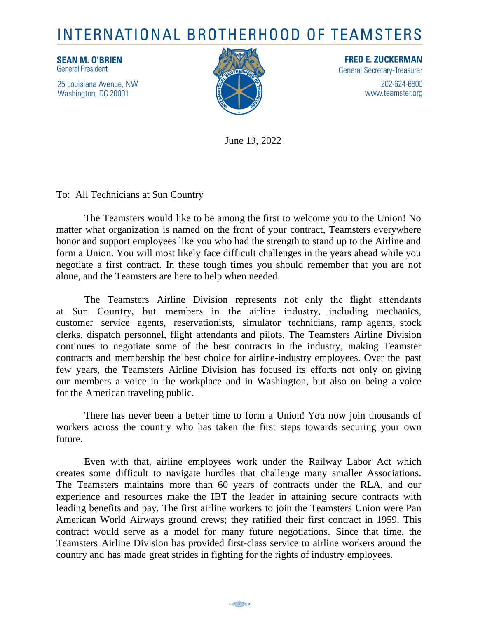## INTERNATIONAL BROTHERHOOD OF TEAMSTERS

**SEAN M. O'BRIEN General President** 

25 Louisiana Avenue, NW Washington, DC 20001



**FRED E. ZUCKERMAN General Secretary-Treasurer** 202-624-6800 www.teamster.org

June 13, 2022

To: All Technicians at Sun Country

The Teamsters would like to be among the first to welcome you to the Union! No matter what organization is named on the front of your contract, Teamsters everywhere honor and support employees like you who had the strength to stand up to the Airline and form a Union. You will most likely face difficult challenges in the years ahead while you negotiate a first contract. In these tough times you should remember that you are not alone, and the Teamsters are here to help when needed.

The Teamsters Airline Division represents not only the flight attendants at Sun Country, but members in the airline industry, including mechanics, customer service agents, reservationists, simulator technicians, ramp agents, stock clerks, dispatch personnel, flight attendants and pilots. The Teamsters Airline Division continues to negotiate some of the best contracts in the industry, making Teamster contracts and membership the best choice for airline-industry employees. Over the past few years, the Teamsters Airline Division has focused its efforts not only on giving our members a voice in the workplace and in Washington, but also on being a voice for the American traveling public.

There has never been a better time to form a Union! You now join thousands of workers across the country who has taken the first steps towards securing your own future.

Even with that, airline employees work under the Railway Labor Act which creates some difficult to navigate hurdles that challenge many smaller Associations. The Teamsters maintains more than 60 years of contracts under the RLA, and our experience and resources make the IBT the leader in attaining secure contracts with leading benefits and pay. The first airline workers to join the Teamsters Union were Pan American World Airways ground crews; they ratified their first contract in 1959. This contract would serve as a model for many future negotiations. Since that time, the Teamsters Airline Division has provided first-class service to airline workers around the country and has made great strides in fighting for the rights of industry employees.

**B** Chapter Carl Donald 13